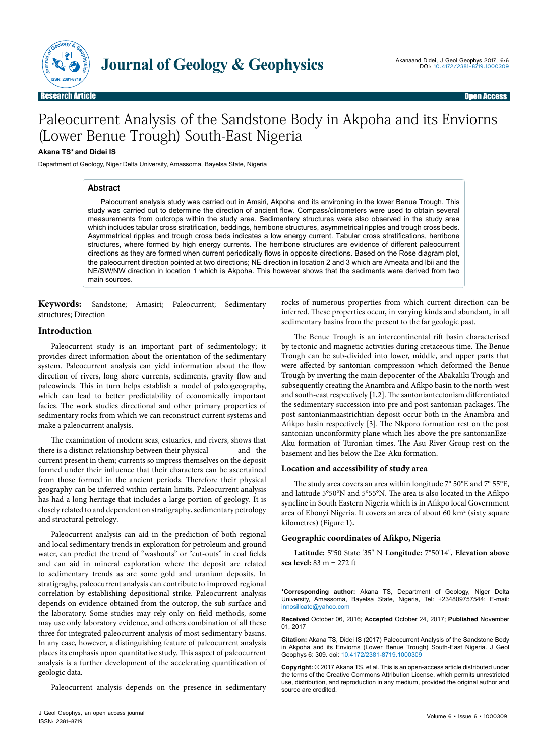

# Paleocurrent Analysis of the Sandstone Body in Akpoha and its Enviorns (Lower Benue Trough) South-East Nigeria

## **Akana TS\* and Didei IS**

Department of Geology, Niger Delta University, Amassoma, Bayelsa State, Nigeria

#### **Abstract**

Palocurrent analysis study was carried out in Amsiri, Akpoha and its environing in the lower Benue Trough. This study was carried out to determine the direction of ancient flow. Compass/clinometers were used to obtain several measurements from outcrops within the study area. Sedimentary structures were also observed in the study area which includes tabular cross stratification, beddings, herribone structures, asymmetrical ripples and trough cross beds. Asymmetrical ripples and trough cross beds indicates a low energy current. Tabular cross stratifications, herribone structures, where formed by high energy currents. The herribone structures are evidence of different paleocurrent directions as they are formed when current periodically flows in opposite directions. Based on the Rose diagram plot, the paleocurrent direction pointed at two directions; NE direction in location 2 and 3 which are Ameata and Ibii and the NE/SW/NW direction in location 1 which is Akpoha. This however shows that the sediments were derived from two main sources.

**Keywords:** Sandstone; Amasiri; Paleocurrent; Sedimentary structures; Direction

## **Introduction**

Paleocurrent study is an important part of sedimentology; it provides direct information about the orientation of the sedimentary system. Paleocurrent analysis can yield information about the flow direction of rivers, long shore currents, sediments, gravity flow and paleowinds. This in turn helps establish a model of paleogeography, which can lead to better predictability of economically important facies. The work studies directional and other primary properties of sedimentary rocks from which we can reconstruct current systems and make a paleocurrent analysis.

The examination of modern seas, estuaries, and rivers, shows that there is a distinct relationship between their physical and the current present in them; currents so impress themselves on the deposit formed under their influence that their characters can be ascertained from those formed in the ancient periods. Therefore their physical geography can be inferred within certain limits. Paleocurrent analysis has had a long heritage that includes a large portion of geology. It is closely related to and dependent on stratigraphy, sedimentary petrology and structural petrology.

Paleocurrent analysis can aid in the prediction of both regional and local sedimentary trends in exploration for petroleum and ground water, can predict the trend of "washouts" or "cut-outs" in coal fields and can aid in mineral exploration where the deposit are related to sedimentary trends as are some gold and uranium deposits. In stratigraghy, paleocurrent analysis can contribute to improved regional correlation by establishing depositional strike. Paleocurrent analysis depends on evidence obtained from the outcrop, the sub surface and the laboratory. Some studies may rely only on field methods, some may use only laboratory evidence, and others combination of all these three for integrated paleocurrent analysis of most sedimentary basins. In any case, however, a distinguishing feature of paleocurrent analysis places its emphasis upon quantitative study. This aspect of paleocurrent analysis is a further development of the accelerating quantification of geologic data.

Paleocurrent analysis depends on the presence in sedimentary

rocks of numerous properties from which current direction can be inferred. These properties occur, in varying kinds and abundant, in all sedimentary basins from the present to the far geologic past.

The Benue Trough is an intercontinental rift basin characterised by tectonic and magnetic activities during cretaceous time. The Benue Trough can be sub-divided into lower, middle, and upper parts that were affected by santonian compression which deformed the Benue Trough by inverting the main depocenter of the Abakaliki Trough and subsequently creating the Anambra and Afikpo basin to the north-west and south-east respectively [1,2]. The santoniantectonism differentiated the sedimentary succession into pre and post santonian packages. The post santonianmaastrichtian deposit occur both in the Anambra and Afikpo basin respectively [3]. The Nkporo formation rest on the post santonian unconformity plane which lies above the pre santonianEze-Aku formation of Turonian times. The Asu River Group rest on the basement and lies below the Eze-Aku formation.

#### **Location and accessibility of study area**

The study area covers an area within longitude 7° 50°E and 7° 55°E, and latitude 5°50°N and 5°55°N. The area is also located in the Afikpo syncline in South Eastern Nigeria which is in Afikpo local Government area of Ebonyi Nigeria. It covers an area of about 60 km<sup>2</sup> (sixty square kilometres) (Figure 1)**.**

#### **Geographic coordinates of Afikpo, Nigeria**

**Latitude:** 5°50 State '35" N **Longitude:** 7°50'14", **Elevation above sea level:** 83 m = 272 ft

**\*Corresponding author:** Akana TS, Department of Geology, Niger Delta University, Amassoma, Bayelsa State, Nigeria, Tel: +234809757544; E-mail: [innosilicate@yahoo.com](mailto:innosilicate@yahoo.com)

**Received** October 06, 2016; **Accepted** October 24, 2017; **Published** November 01, 2017

**Citation:** Akana TS, Didei IS (2017) Paleocurrent Analysis of the Sandstone Body in Akpoha and its Enviorns (Lower Benue Trough) South-East Nigeria. J Geol Geophys 6: 309. doi: 10.4172/2381-8719.1000309

**Copyright:** © 2017 Akana TS, et al. This is an open-access article distributed under the terms of the Creative Commons Attribution License, which permits unrestricted use, distribution, and reproduction in any medium, provided the original author and source are credited.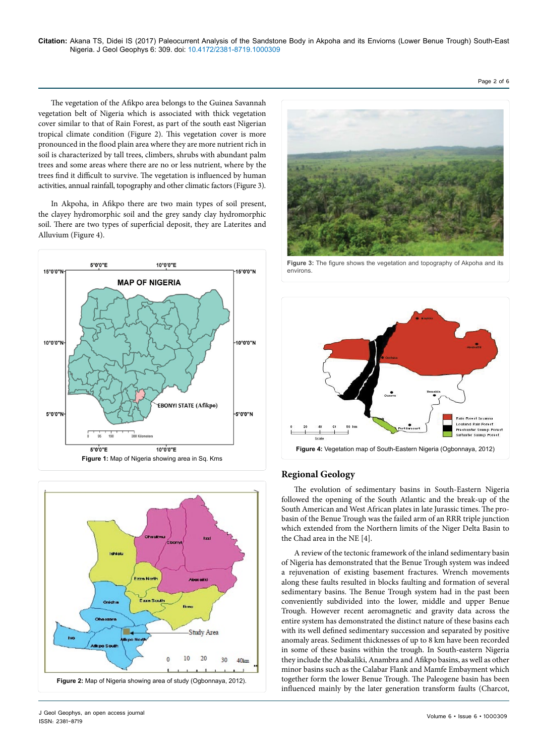The vegetation of the Afikpo area belongs to the Guinea Savannah vegetation belt of Nigeria which is associated with thick vegetation cover similar to that of Rain Forest, as part of the south east Nigerian tropical climate condition (Figure 2). This vegetation cover is more pronounced in the flood plain area where they are more nutrient rich in soil is characterized by tall trees, climbers, shrubs with abundant palm trees and some areas where there are no or less nutrient, where by the trees find it difficult to survive. The vegetation is influenced by human activities, annual rainfall, topography and other climatic factors (Figure 3).

In Akpoha, in Afikpo there are two main types of soil present, the clayey hydromorphic soil and the grey sandy clay hydromorphic soil. There are two types of superficial deposit, they are Laterites and Alluvium (Figure 4).







**Figure 3:** The figure shows the vegetation and topography of Akpoha and its environs.



## **Regional Geology**

The evolution of sedimentary basins in South-Eastern Nigeria followed the opening of the South Atlantic and the break-up of the South American and West African plates in late Jurassic times. The probasin of the Benue Trough was the failed arm of an RRR triple junction which extended from the Northern limits of the Niger Delta Basin to the Chad area in the NE [4].

A review of the tectonic framework of the inland sedimentary basin of Nigeria has demonstrated that the Benue Trough system was indeed a rejuvenation of existing basement fractures. Wrench movements along these faults resulted in blocks faulting and formation of several sedimentary basins. The Benue Trough system had in the past been conveniently subdivided into the lower, middle and upper Benue Trough. However recent aeromagnetic and gravity data across the entire system has demonstrated the distinct nature of these basins each with its well defined sedimentary succession and separated by positive anomaly areas. Sediment thicknesses of up to 8 km have been recorded in some of these basins within the trough. In South-eastern Nigeria they include the Abakaliki, Anambra and Afikpo basins, as well as other minor basins such as the Calabar Flank and Mamfe Embayment which together form the lower Benue Trough. The Paleogene basin has been influenced mainly by the later generation transform faults (Charcot,

Page 2 of 6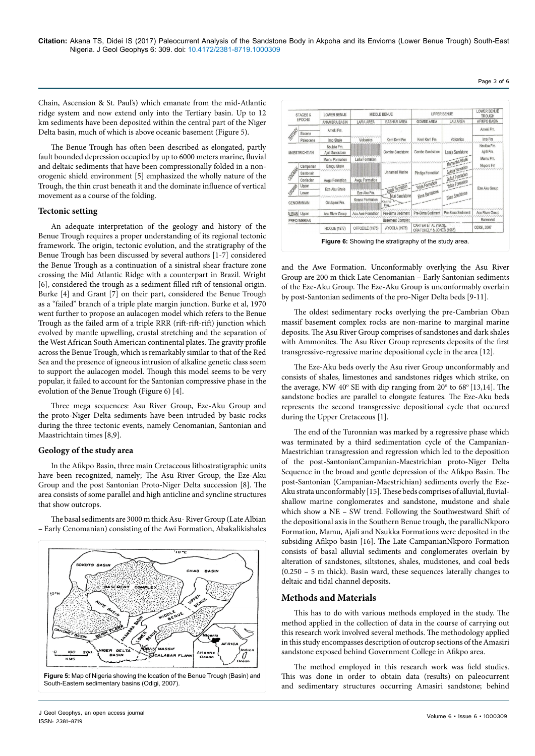Chain, Ascension & St. Paul's) which emanate from the mid-Atlantic ridge system and now extend only into the Tertiary basin. Up to 12 km sediments have been deposited within the central part of the Niger Delta basin, much of which is above oceanic basement (Figure 5).

The Benue Trough has often been described as elongated, partly fault bounded depression occupied by up to 6000 meters marine, fluvial and deltaic sediments that have been compressionally folded in a nonorogenic shield environment [5] emphasized the wholly nature of the Trough, the thin crust beneath it and the dominate influence of vertical movement as a course of the folding.

## **Tectonic setting**

An adequate interpretation of the geology and history of the Benue Trough requires a proper understanding of its regional tectonic framework. The origin, tectonic evolution, and the stratigraphy of the Benue Trough has been discussed by several authors [1-7] considered the Benue Trough as a continuation of a sinistral shear fracture zone crossing the Mid Atlantic Ridge with a counterpart in Brazil. Wright [6], considered the trough as a sediment filled rift of tensional origin. Burke [4] and Grant [7] on their part, considered the Benue Trough as a "failed" branch of a triple plate margin junction. Burke et al, 1970 went further to propose an aulacogen model which refers to the Benue Trough as the failed arm of a triple RRR (rift-rift-rift) junction which evolved by mantle upwelling, crustal stretching and the separation of the West African South American continental plates. The gravity profile across the Benue Trough, which is remarkably similar to that of the Red Sea and the presence of igneous intrusion of alkaline genetic class seem to support the aulacogen model. Though this model seems to be very popular, it failed to account for the Santonian compressive phase in the evolution of the Benue Trough (Figure 6) [4].

Three mega sequences: Asu River Group, Eze-Aku Group and the proto-Niger Delta sediments have been intruded by basic rocks during the three tectonic events, namely Cenomanian, Santonian and Maastrichtain times [8,9].

#### **Geology of the study area**

In the Afikpo Basin, three main Cretaceous lithostratigraphic units have been recognized, namely; The Asu River Group, the Eze-Aku Group and the post Santonian Proto-Niger Delta succession [8]. The area consists of some parallel and high anticline and syncline structures that show outcrops.

The basal sediments are 3000 m thick Asu- River Group (Late Albian – Early Cenomanian) consisting of the Awi Formation, Abakalikishales





and the Awe Formation. Unconformably overlying the Asu River Group are 200 m thick Late Cenomanian – Early Santonian sediments of the Eze-Aku Group. The Eze-Aku Group is unconformably overlain by post-Santonian sediments of the pro-Niger Delta beds [9-11].

The oldest sedimentary rocks overlying the pre-Cambrian Oban massif basement complex rocks are non-marine to marginal marine deposits. The Asu River Group comprises of sandstones and dark shales with Ammonites. The Asu River Group represents deposits of the first transgressive-regressive marine depositional cycle in the area [12].

The Eze-Aku beds overly the Asu river Group unconformably and consists of shales, limestones and sandstones ridges which strike, on the average, NW  $40^{\circ}$  SE with dip ranging from  $20^{\circ}$  to  $68^{\circ}$  [13,14]. The sandstone bodies are parallel to elongate features. The Eze-Aku beds represents the second transgressive depositional cycle that occured during the Upper Cretaceous [1].

The end of the Turonnian was marked by a regressive phase which was terminated by a third sedimentation cycle of the Campanian-Maestrichian transgression and regression which led to the deposition of the post-SantonianCampanian-Maestrichian proto-Niger Delta Sequence in the broad and gentle depression of the Afikpo Basin. The post-Santonian (Campanian-Maestrichian) sediments overly the Eze-Aku strata unconformably [15]. These beds comprises of alluvial, fluvialshallow marine conglomerates and sandstone, mudstone and shale which show a NE – SW trend. Following the Southwestward Shift of the depositional axis in the Southern Benue trough, the parallicNkporo Formation, Mamu, Ajali and Nsukka Formations were deposited in the subsiding Afikpo basin [16]. The Late CampanianNkporo Formation consists of basal alluvial sediments and conglomerates overlain by alteration of sandstones, siltstones, shales, mudstones, and coal beds (0.250 – 5 m thick). Basin ward, these sequences laterally changes to deltaic and tidal channel deposits.

## **Methods and Materials**

This has to do with various methods employed in the study. The method applied in the collection of data in the course of carrying out this research work involved several methods. The methodology applied in this study encompasses description of outcrop sections of the Amasiri sandstone exposed behind Government College in Afikpo area.

The method employed in this research work was field studies. This was done in order to obtain data (results) on paleocurrent and sedimentary structures occurring Amasiri sandstone; behind

Page 3 of 6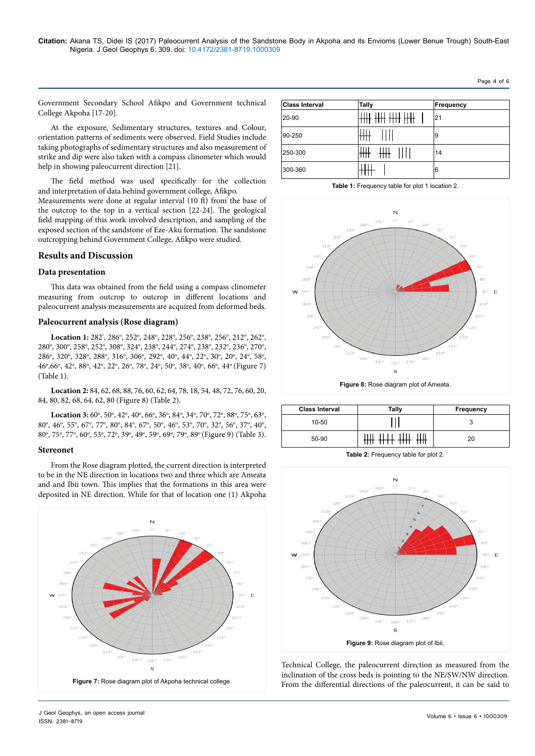Government Secondary School Afikpo and Government technical College Akpoha [17-20].

At the exposure, Sedimentary structures, textures and Colour, orientation patterns of sediments were observed. Field Studies include taking photographs of sedimentary structures and also measurement of strike and dip were also taken with a compass clinometer which would help in showing paleocurrent direction [21].

The field method was used specifically for the collection and interpretation of data behind government college, Afikpo.

Measurements were done at regular interval (10 ft) from the base of the outcrop to the top in a vertical section [22-24]. The geological field mapping of this work involved description, and sampling of the exposed section of the sandstone of Eze-Aku formation. The sandstone outcropping behind Government College, Afikpo were studied.

### **Results and Discussion**

### **Data presentation**

This data was obtained from the field using a compass clinometer measuring from outcrop to outcrop in different locations and paleocurrent analysis measurements are acquired from deformed beds.

## **Paleocurrent analysis (Rose diagram)**

Location 1: 282<sup>°</sup>, 286<sup>°</sup>, 252<sup>°</sup>, 248<sup>°</sup>, 228<sup>°</sup>, 256<sup>°</sup>, 238<sup>°</sup>, 256<sup>°</sup>, 212<sup>°</sup>, 262<sup>°</sup>, 280°, 300°, 258°, 252°, 308°, 324°, 238°, 244°, 274°, 238°, 232°, 236°, 270°, 286°, 320°, 328°, 288°, 316°, 306°, 292°, 40°, 44°, 22°, 30°, 20°, 24°, 58°, 46°,66°, 42°, 88°, 42°, 22°, 26°, 78°, 24°, 50°, 38°, 40°, 66°, 44° (Figure 7) (Table 1).

**Location 2:** 84, 62, 68, 88, 76, 60, 62, 64, 78, 18, 54, 48, 72, 76, 60, 20, 84, 80, 82, 68, 64, 62, 80 (Figure 8) (Table 2).

**Location 3:**  $60^{\circ}$ ,  $50^{\circ}$ ,  $42^{\circ}$ ,  $40^{\circ}$ ,  $66^{\circ}$ ,  $36^{\circ}$ ,  $84^{\circ}$ ,  $34^{\circ}$ ,  $70^{\circ}$ ,  $72^{\circ}$ ,  $88^{\circ}$ ,  $75^{\circ}$ ,  $63^{\circ}$ , 80°, 46°, 55°, 67°, 77°, 80°, 84°, 67°, 50°, 46°, 53°, 70°, 32°, 56°, 37°, 40°, 80°, 75°, 77°, 60°, 53°, 72°, 39°, 49°, 59°, 69°, 79°, 89° (Figure 9) (Table 3).

#### **Stereonet**

From the Rose diagram plotted, the current direction is interpreted to be in the NE direction in locations two and three which are Ameata and and Ibii town. This implies that the formations in this area were deposited in NE direction. While for that of location one (1) Akpoha



| <b>Class Interval</b> | <b>Tally</b> | Frequency |
|-----------------------|--------------|-----------|
| 20-90                 | गा। गा। गा।  | 21        |
| 90-250                |              | 9         |
| 250-300               | ππ<br>Ш      | 14        |
| 300-360               |              | 6         |

**Table 1:** Frequency table for plot 1 location 2.



| <b>Class Interval</b> | Tally | Frequency |
|-----------------------|-------|-----------|
| $10 - 50$             |       | u         |
| 50-90                 |       | 20        |

**Table 2: Frequency table for plot 2.** 



Technical College, the paleocurrent direction as measured from the inclination of the cross beds is pointing to the NE/SW/NW direction. Figure 7: Rose diagram plot of Akpoha technical college. From the differential directions of the paleocurrent, it can be said to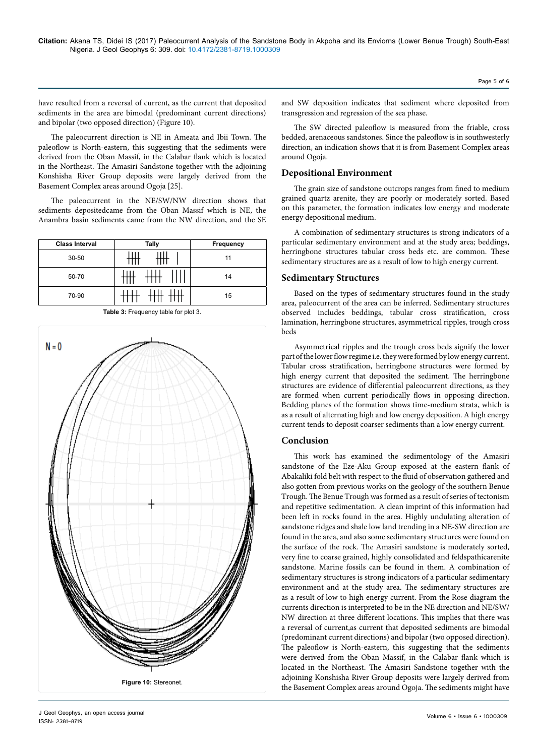have resulted from a reversal of current, as the current that deposited sediments in the area are bimodal (predominant current directions) and bipolar (two opposed direction) (Figure 10).

The paleocurrent direction is NE in Ameata and Ibii Town. The paleoflow is North-eastern, this suggesting that the sediments were derived from the Oban Massif, in the Calabar flank which is located in the Northeast. The Amasiri Sandstone together with the adjoining Konshisha River Group deposits were largely derived from the Basement Complex areas around Ogoja [25].

The paleocurrent in the NE/SW/NW direction shows that sediments depositedcame from the Oban Massif which is NE, the Anambra basin sediments came from the NW direction, and the SE

| <b>Class Interval</b> | <b>Tally</b> | Frequency |
|-----------------------|--------------|-----------|
| 30-50                 |              | 11        |
| 50-70                 |              | 14        |
| 70-90                 |              | 15        |

**Table 3:** Frequency table for plot 3.



and SW deposition indicates that sediment where deposited from transgression and regression of the sea phase.

The SW directed paleoflow is measured from the friable, cross bedded, arenaceous sandstones. Since the paleoflow is in southwesterly direction, an indication shows that it is from Basement Complex areas around Ogoja.

### **Depositional Environment**

The grain size of sandstone outcrops ranges from fined to medium grained quartz arenite, they are poorly or moderately sorted. Based on this parameter, the formation indicates low energy and moderate energy depositional medium.

A combination of sedimentary structures is strong indicators of a particular sedimentary environment and at the study area; beddings, herringbone structures tabular cross beds etc. are common. These sedimentary structures are as a result of low to high energy current.

#### **Sedimentary Structures**

Based on the types of sedimentary structures found in the study area, paleocurrent of the area can be inferred. Sedimentary structures observed includes beddings, tabular cross stratification, cross lamination, herringbone structures, asymmetrical ripples, trough cross beds

Asymmetrical ripples and the trough cross beds signify the lower part of the lower flow regime i.e. they were formed by low energy current. Tabular cross stratification, herringbone structures were formed by high energy current that deposited the sediment. The herringbone structures are evidence of differential paleocurrent directions, as they are formed when current periodically flows in opposing direction. Bedding planes of the formation shows time-medium strata, which is as a result of alternating high and low energy deposition. A high energy current tends to deposit coarser sediments than a low energy current.

### **Conclusion**

This work has examined the sedimentology of the Amasiri sandstone of the Eze-Aku Group exposed at the eastern flank of Abakaliki fold belt with respect to the fluid of observation gathered and also gotten from previous works on the geology of the southern Benue Trough. The Benue Trough was formed as a result of series of tectonism and repetitive sedimentation. A clean imprint of this information had been left in rocks found in the area. Highly undulating alteration of sandstone ridges and shale low land trending in a NE-SW direction are found in the area, and also some sedimentary structures were found on the surface of the rock. The Amasiri sandstone is moderately sorted, very fine to coarse grained, highly consolidated and feldspathicarenite sandstone. Marine fossils can be found in them. A combination of sedimentary structures is strong indicators of a particular sedimentary environment and at the study area. The sedimentary structures are as a result of low to high energy current. From the Rose diagram the currents direction is interpreted to be in the NE direction and NE/SW/ NW direction at three different locations. This implies that there was a reversal of current,as current that deposited sediments are bimodal (predominant current directions) and bipolar (two opposed direction). The paleoflow is North-eastern, this suggesting that the sediments were derived from the Oban Massif, in the Calabar flank which is located in the Northeast. The Amasiri Sandstone together with the adjoining Konshisha River Group deposits were largely derived from the Basement Complex areas around Ogoja. The sediments might have